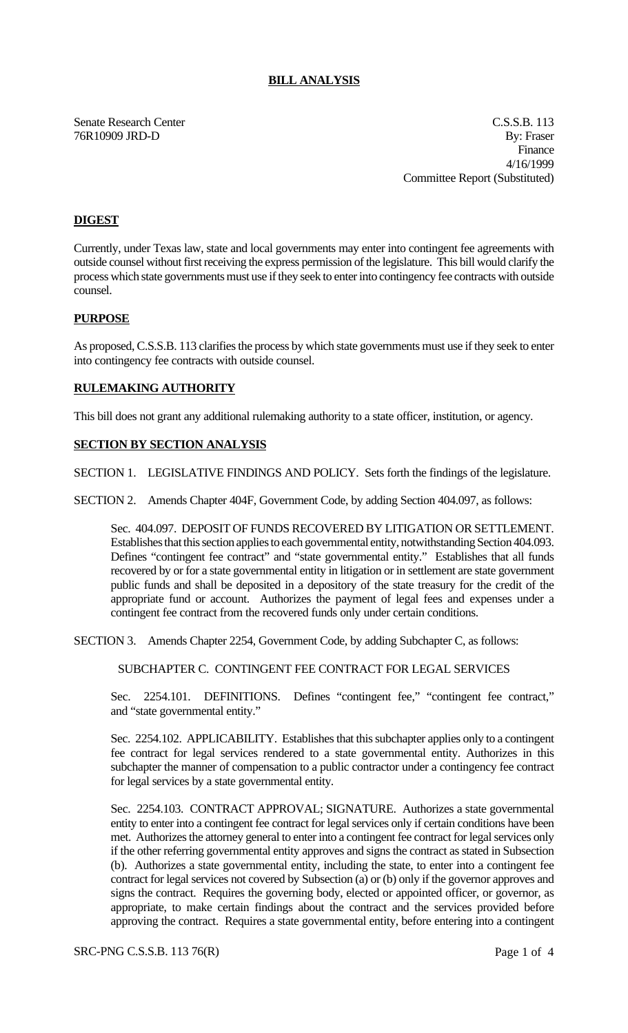## **BILL ANALYSIS**

Senate Research Center C.S.S.B. 113 76R10909 JRD-D By: Fraser Finance 4/16/1999 Committee Report (Substituted)

# **DIGEST**

Currently, under Texas law, state and local governments may enter into contingent fee agreements with outside counsel without first receiving the express permission of the legislature. This bill would clarify the process which state governments must use if they seek to enter into contingency fee contracts with outside counsel.

### **PURPOSE**

As proposed, C.S.S.B. 113 clarifies the process by which state governments must use if they seek to enter into contingency fee contracts with outside counsel.

### **RULEMAKING AUTHORITY**

This bill does not grant any additional rulemaking authority to a state officer, institution, or agency.

## **SECTION BY SECTION ANALYSIS**

SECTION 1. LEGISLATIVE FINDINGS AND POLICY. Sets forth the findings of the legislature.

SECTION 2. Amends Chapter 404F, Government Code, by adding Section 404.097, as follows:

Sec. 404.097. DEPOSIT OF FUNDS RECOVERED BY LITIGATION OR SETTLEMENT. Establishes that this section applies to each governmental entity, notwithstanding Section 404.093. Defines "contingent fee contract" and "state governmental entity." Establishes that all funds recovered by or for a state governmental entity in litigation or in settlement are state government public funds and shall be deposited in a depository of the state treasury for the credit of the appropriate fund or account. Authorizes the payment of legal fees and expenses under a contingent fee contract from the recovered funds only under certain conditions.

SECTION 3. Amends Chapter 2254, Government Code, by adding Subchapter C, as follows:

SUBCHAPTER C. CONTINGENT FEE CONTRACT FOR LEGAL SERVICES

Sec. 2254.101. DEFINITIONS. Defines "contingent fee," "contingent fee contract," and "state governmental entity."

Sec. 2254.102. APPLICABILITY. Establishes that this subchapter applies only to a contingent fee contract for legal services rendered to a state governmental entity. Authorizes in this subchapter the manner of compensation to a public contractor under a contingency fee contract for legal services by a state governmental entity.

Sec. 2254.103. CONTRACT APPROVAL; SIGNATURE. Authorizes a state governmental entity to enter into a contingent fee contract for legal services only if certain conditions have been met. Authorizes the attorney general to enter into a contingent fee contract for legal services only if the other referring governmental entity approves and signs the contract as stated in Subsection (b). Authorizes a state governmental entity, including the state, to enter into a contingent fee contract for legal services not covered by Subsection (a) or (b) only if the governor approves and signs the contract. Requires the governing body, elected or appointed officer, or governor, as appropriate, to make certain findings about the contract and the services provided before approving the contract. Requires a state governmental entity, before entering into a contingent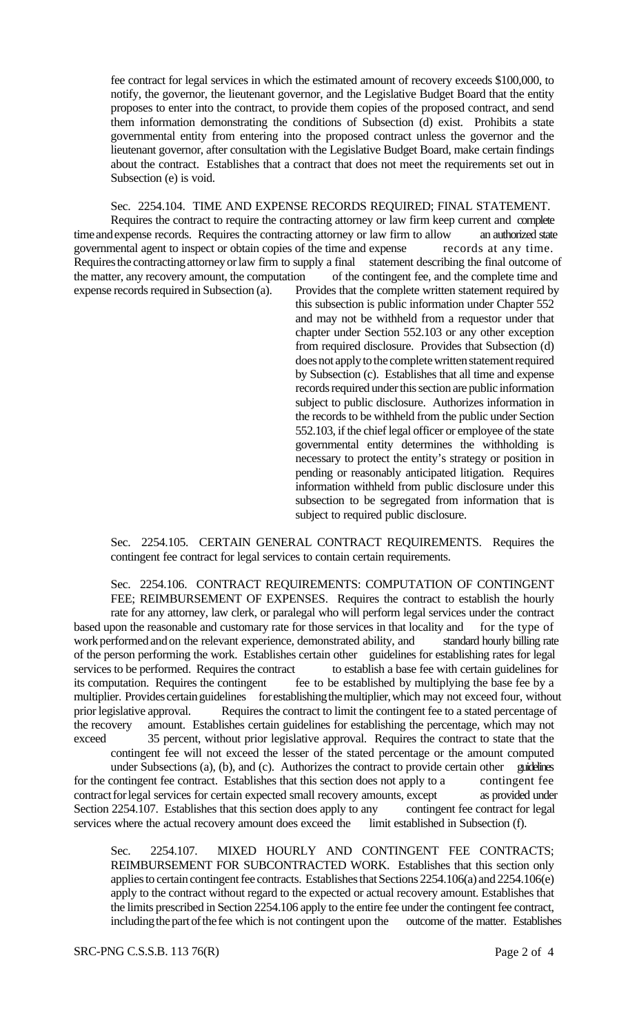fee contract for legal services in which the estimated amount of recovery exceeds \$100,000, to notify, the governor, the lieutenant governor, and the Legislative Budget Board that the entity proposes to enter into the contract, to provide them copies of the proposed contract, and send them information demonstrating the conditions of Subsection (d) exist. Prohibits a state governmental entity from entering into the proposed contract unless the governor and the lieutenant governor, after consultation with the Legislative Budget Board, make certain findings about the contract. Establishes that a contract that does not meet the requirements set out in Subsection (e) is void.

# Sec. 2254.104. TIME AND EXPENSE RECORDS REQUIRED; FINAL STATEMENT.

Requires the contract to require the contracting attorney or law firm keep current and complete time and expense records. Requires the contracting attorney or law firm to allow an authorized state governmental agent to inspect or obtain copies of the time and expense records at any time. Requires the contracting attorney or law firm to supply a final statement describing the final outcome of the matter, any recovery amount, the computation of the contingent fee, and the complete time and expense records required in Subsection (a). Provides that the complete written statement required by Provides that the complete written statement required by

this subsection is public information under Chapter 552 and may not be withheld from a requestor under that chapter under Section 552.103 or any other exception from required disclosure. Provides that Subsection (d) does not apply to the complete written statement required by Subsection (c). Establishes that all time and expense records required under this section are public information subject to public disclosure. Authorizes information in the records to be withheld from the public under Section 552.103, if the chief legal officer or employee of the state governmental entity determines the withholding is necessary to protect the entity's strategy or position in pending or reasonably anticipated litigation. Requires information withheld from public disclosure under this subsection to be segregated from information that is subject to required public disclosure.

Sec. 2254.105. CERTAIN GENERAL CONTRACT REQUIREMENTS. Requires the contingent fee contract for legal services to contain certain requirements.

Sec. 2254.106. CONTRACT REQUIREMENTS: COMPUTATION OF CONTINGENT FEE; REIMBURSEMENT OF EXPENSES. Requires the contract to establish the hourly

rate for any attorney, law clerk, or paralegal who will perform legal services under the contract based upon the reasonable and customary rate for those services in that locality and for the type of work performed and on the relevant experience, demonstrated ability, and standard hourly billing rate of the person performing the work. Establishes certain other guidelines for establishing rates for legal services to be performed. Requires the contract to establish a base fee with certain guidelines for its computation. Requires the contingent fee to be established by multiplying the base fee by a multiplier. Provides certain guidelines for establishing the multiplier, which may not exceed four, without prior legislative approval. Requires the contract to limit the contingent fee to a stated percentage of prior legislative approval. Requires the contract to limit the contingent fee to a stated percentage of the recovery amount. Establishes certain guidelines for establishing the percentage, which may not amount. Establishes certain guidelines for establishing the percentage, which may not exceed 35 percent, without prior legislative approval. Requires the contract to state that the contingent fee will not exceed the lesser of the stated percentage or the amount computed under Subsections (a), (b), and (c). Authorizes the contract to provide certain other guidelines for the contingent fee contract. Establishes that this section does not apply to a contingent fee contract for legal services for certain expected small recovery amounts, except as provided under Section 2254.107. Establishes that this section does apply to any contingent fee contract for legal

services where the actual recovery amount does exceed the limit established in Subsection (f).

Sec. 2254.107. MIXED HOURLY AND CONTINGENT FEE CONTRACTS; REIMBURSEMENT FOR SUBCONTRACTED WORK. Establishes that this section only applies to certain contingent fee contracts. Establishes that Sections 2254.106(a) and 2254.106(e) apply to the contract without regard to the expected or actual recovery amount. Establishes that the limits prescribed in Section 2254.106 apply to the entire fee under the contingent fee contract, including the part of the fee which is not contingent upon the outcome of the matter. Establishes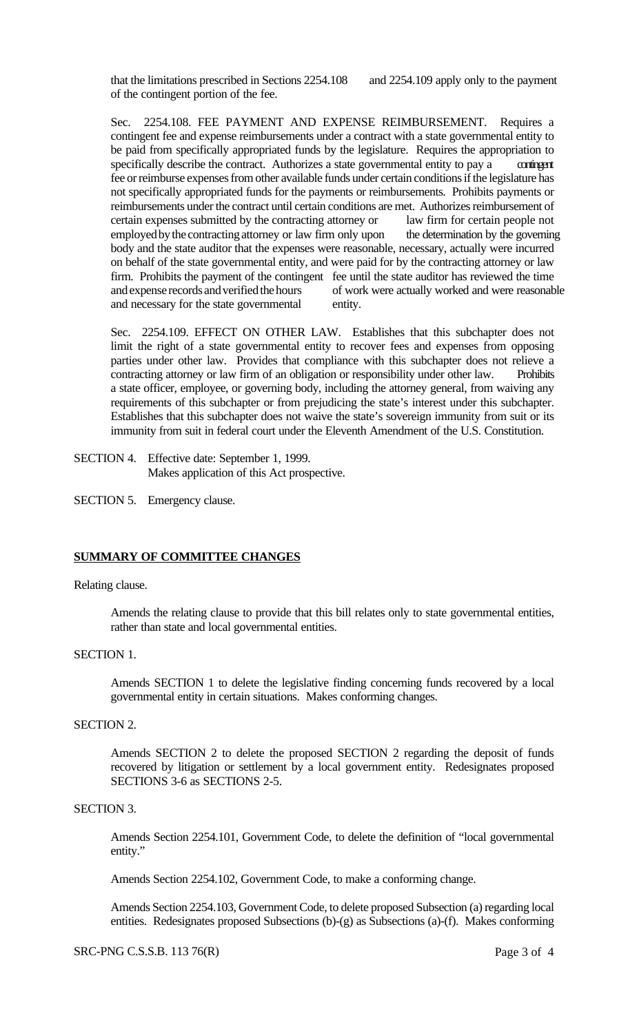that the limitations prescribed in Sections 2254.108 and 2254.109 apply only to the payment of the contingent portion of the fee.

Sec. 2254.108. FEE PAYMENT AND EXPENSE REIMBURSEMENT. Requires a contingent fee and expense reimbursements under a contract with a state governmental entity to be paid from specifically appropriated funds by the legislature. Requires the appropriation to specifically describe the contract. Authorizes a state governmental entity to pay a contingent fee or reimburse expenses from other available funds under certain conditions if the legislature has not specifically appropriated funds for the payments or reimbursements. Prohibits payments or reimbursements under the contract until certain conditions are met. Authorizes reimbursement of certain expenses submitted by the contracting attorney or law firm for certain people not employed by the contracting attorney or law firm only upon the determination by the governing body and the state auditor that the expenses were reasonable, necessary, actually were incurred on behalf of the state governmental entity, and were paid for by the contracting attorney or law firm. Prohibits the payment of the contingent fee until the state auditor has reviewed the time and expense records and verified the hours of work were actually worked and were reasonable and necessary for the state governmental entity.

Sec. 2254.109. EFFECT ON OTHER LAW. Establishes that this subchapter does not limit the right of a state governmental entity to recover fees and expenses from opposing parties under other law. Provides that compliance with this subchapter does not relieve a contracting attorney or law firm of an obligation or responsibility under other law. Prohibits a state officer, employee, or governing body, including the attorney general, from waiving any requirements of this subchapter or from prejudicing the state's interest under this subchapter. Establishes that this subchapter does not waive the state's sovereign immunity from suit or its immunity from suit in federal court under the Eleventh Amendment of the U.S. Constitution.

SECTION 4. Effective date: September 1, 1999. Makes application of this Act prospective.

SECTION 5. Emergency clause.

# **SUMMARY OF COMMITTEE CHANGES**

### Relating clause.

Amends the relating clause to provide that this bill relates only to state governmental entities, rather than state and local governmental entities.

### SECTION 1.

Amends SECTION 1 to delete the legislative finding concerning funds recovered by a local governmental entity in certain situations. Makes conforming changes.

#### SECTION 2.

Amends SECTION 2 to delete the proposed SECTION 2 regarding the deposit of funds recovered by litigation or settlement by a local government entity. Redesignates proposed SECTIONS 3-6 as SECTIONS 2-5.

# SECTION 3.

Amends Section 2254.101, Government Code, to delete the definition of "local governmental entity."

Amends Section 2254.102, Government Code, to make a conforming change.

Amends Section 2254.103, Government Code, to delete proposed Subsection (a) regarding local entities. Redesignates proposed Subsections (b)-(g) as Subsections (a)-(f). Makes conforming